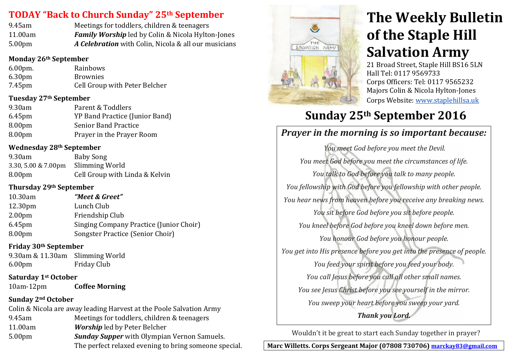# **TODAY "Back to Church Sunday" 25th September**

| 9.45am             | Meetings for toddlers, children & teenagers              |
|--------------------|----------------------------------------------------------|
| 11.00am            | <b>Family Worship</b> led by Colin & Nicola Hylton-Jones |
| 5.00 <sub>pm</sub> | A Celebration with Colin, Nicola & all our musicians     |

### **Monday 26th September**

| $6.00pm$ .         | Rainbows                      |
|--------------------|-------------------------------|
| 6.30 <sub>pm</sub> | <b>Brownies</b>               |
| 7.45 <sub>pm</sub> | Cell Group with Peter Belcher |

### **Tuesday 27th September**

| Parent & Toddlers              |
|--------------------------------|
| YP Band Practice (Junior Band) |
| <b>Senior Band Practice</b>    |
| Prayer in the Prayer Room      |
|                                |

### **Wednesday 28th September**

| $9.30$ am                     | <b>Baby Song</b>               |
|-------------------------------|--------------------------------|
| 3.30, 5.00 $& 7.00 \text{pm}$ | Slimming World                 |
| 8.00 <sub>pm</sub>            | Cell Group with Linda & Kelvin |

### **Thursday 29th September**

| 10.30am             | "Meet & Greet"                          |
|---------------------|-----------------------------------------|
| 12.30 <sub>pm</sub> | Lunch Club                              |
| 2.00 <sub>pm</sub>  | Friendship Club                         |
| 6.45 <sub>pm</sub>  | Singing Company Practice (Junior Choir) |
| 8.00 <sub>pm</sub>  | Songster Practice (Senior Choir)        |

### **Friday 30th September**

9.30am & 11.30am Slimming World 6.00pm Friday Club

#### **Saturday 1st October** 10am-12pm **Coffee Morning**

# **Sunday 2nd October**

Colin & Nicola are away leading Harvest at the Poole Salvation Army 9.45am Meetings for toddlers, children & teenagers 11.00am *Worship* led by Peter Belcher 5.00pm *Sunday Supper* with Olympian Vernon Samuels. The perfect relaxed evening to bring someone special.



# **The Weekly Bulletin of the Staple Hill Salvation Army**

21 Broad Street, Staple Hill BS16 5LN Hall Tel: 0117 9569733 Corps Officers: Tel: 0117 9565232 Majors Colin & Nicola Hylton-Jones Corps Website: [www.staplehillsa.uk](http://www.staplehillsa.uk/)

# **Sunday 25th September 2016**

# *Prayer in the morning is so important because:*

*You meet God before you meet the Devil. You meet God before you meet the circumstances of life. You talk to God before you talk to many people. You fellowship with God before you fellowship with other people. You hear news from heaven before you receive any breaking news. You sit before God before you sit before people. You kneel before God before you kneel down before men. You honour God before you honour people. You get into His presence before you get into the presence of people. You feed your spirit before you feed your body. You call Jesus before you call all other small names. You see Jesus Christ before you see yourself in the mirror. You sweep your heart before you sweep your yard. Thank you Lord.*

Wouldn't it be great to start each Sunday together in prayer?

**Marc Willetts. Corps Sergeant Major (07808 730706) [marckay83@gmail.com](mailto:marckay83@gmail.com)**